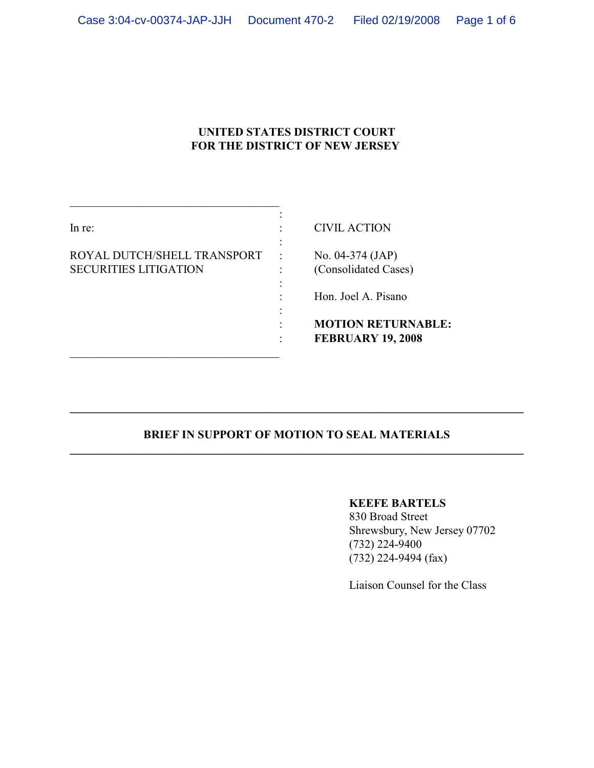### **UNITED STATES DISTRICT COURT FOR THE DISTRICT OF NEW JERSEY**

| In re:                                                      |           | <b>CIVIL ACTION</b>                                               |
|-------------------------------------------------------------|-----------|-------------------------------------------------------------------|
| ROYAL DUTCH/SHELL TRANSPORT<br><b>SECURITIES LITIGATION</b> | $\bullet$ | No. $04-374$ (JAP)<br>(Consolidated Cases)<br>Hon. Joel A. Pisano |
|                                                             |           | <b>MOTION RETURNABLE:</b><br><b>FEBRUARY 19, 2008</b>             |

\_\_\_\_\_\_\_\_\_\_\_\_\_\_\_\_\_\_\_\_\_\_\_\_\_\_\_\_\_\_\_\_\_\_\_\_

### **BRIEF IN SUPPORT OF MOTION TO SEAL MATERIALS \_\_\_\_\_\_\_\_\_\_\_\_\_\_\_\_\_\_\_\_\_\_\_\_\_\_\_\_\_\_\_\_\_\_\_\_\_\_\_\_\_\_\_\_\_\_\_\_\_\_\_\_\_\_\_\_\_\_\_\_\_\_\_\_\_\_\_\_\_\_\_\_\_\_\_\_\_\_**

**\_\_\_\_\_\_\_\_\_\_\_\_\_\_\_\_\_\_\_\_\_\_\_\_\_\_\_\_\_\_\_\_\_\_\_\_\_\_\_\_\_\_\_\_\_\_\_\_\_\_\_\_\_\_\_\_\_\_\_\_\_\_\_\_\_\_\_\_\_\_\_\_\_\_\_\_\_\_**

#### **KEEFE BARTELS**

830 Broad Street Shrewsbury, New Jersey 07702 (732) 224-9400 (732) 224-9494 (fax)

Liaison Counsel for the Class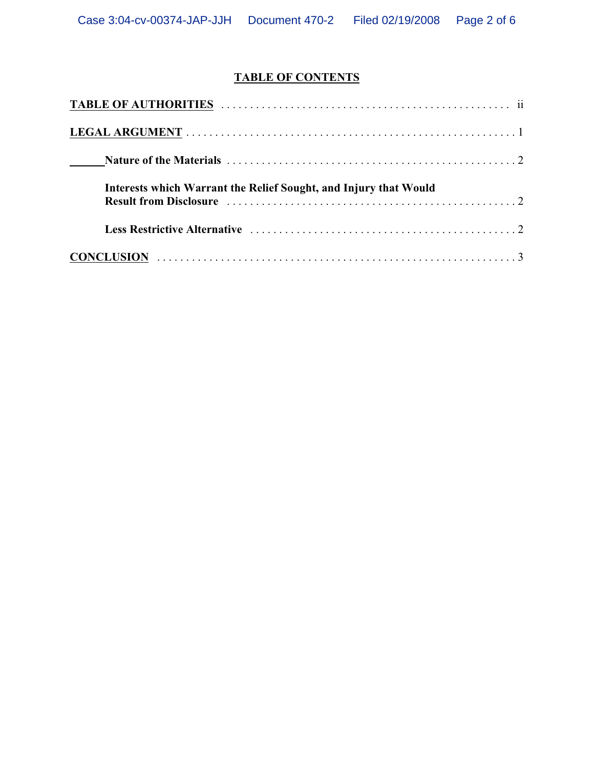# **TABLE OF CONTENTS**

| Interests which Warrant the Relief Sought, and Injury that Would                                        |  |
|---------------------------------------------------------------------------------------------------------|--|
|                                                                                                         |  |
| $CONCLUSION \ldots \ldots \ldots \ldots \ldots \ldots \ldots \ldots \ldots \ldots \ldots \ldots \ldots$ |  |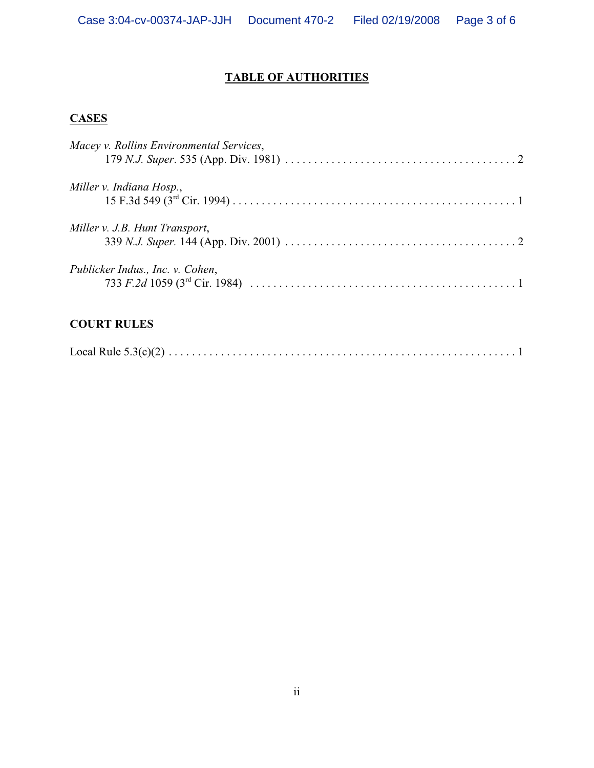## **TABLE OF AUTHORITIES**

## **CASES**

| Macey v. Rollins Environmental Services, |  |
|------------------------------------------|--|
| Miller v. Indiana Hosp.,                 |  |
| Miller v. J.B. Hunt Transport,           |  |
| Publicker Indus., Inc. v. Cohen,         |  |

## **COURT RULES**

|--|--|--|--|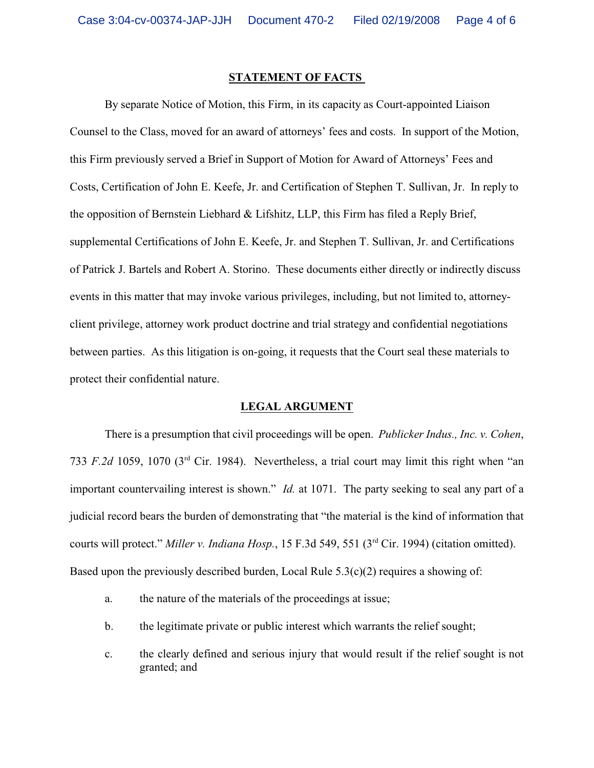#### **STATEMENT OF FACTS**

By separate Notice of Motion, this Firm, in its capacity as Court-appointed Liaison Counsel to the Class, moved for an award of attorneys' fees and costs. In support of the Motion, this Firm previously served a Brief in Support of Motion for Award of Attorneys' Fees and Costs, Certification of John E. Keefe, Jr. and Certification of Stephen T. Sullivan, Jr. In reply to the opposition of Bernstein Liebhard & Lifshitz, LLP, this Firm has filed a Reply Brief, supplemental Certifications of John E. Keefe, Jr. and Stephen T. Sullivan, Jr. and Certifications of Patrick J. Bartels and Robert A. Storino. These documents either directly or indirectly discuss events in this matter that may invoke various privileges, including, but not limited to, attorneyclient privilege, attorney work product doctrine and trial strategy and confidential negotiations between parties. As this litigation is on-going, it requests that the Court seal these materials to protect their confidential nature.

#### **LEGAL ARGUMENT**

There is a presumption that civil proceedings will be open. *Publicker Indus., Inc. v. Cohen*, 733 *F.2d* 1059, 1070 ( $3<sup>rd</sup>$  Cir. 1984). Nevertheless, a trial court may limit this right when "an important countervailing interest is shown." *Id.* at 1071. The party seeking to seal any part of a judicial record bears the burden of demonstrating that "the material is the kind of information that courts will protect." *Miller v. Indiana Hosp.*, 15 F.3d 549, 551 (3<sup>rd</sup> Cir. 1994) (citation omitted). Based upon the previously described burden, Local Rule  $5.3(c)(2)$  requires a showing of:

- a. the nature of the materials of the proceedings at issue;
- b. the legitimate private or public interest which warrants the relief sought;
- c. the clearly defined and serious injury that would result if the relief sought is not granted; and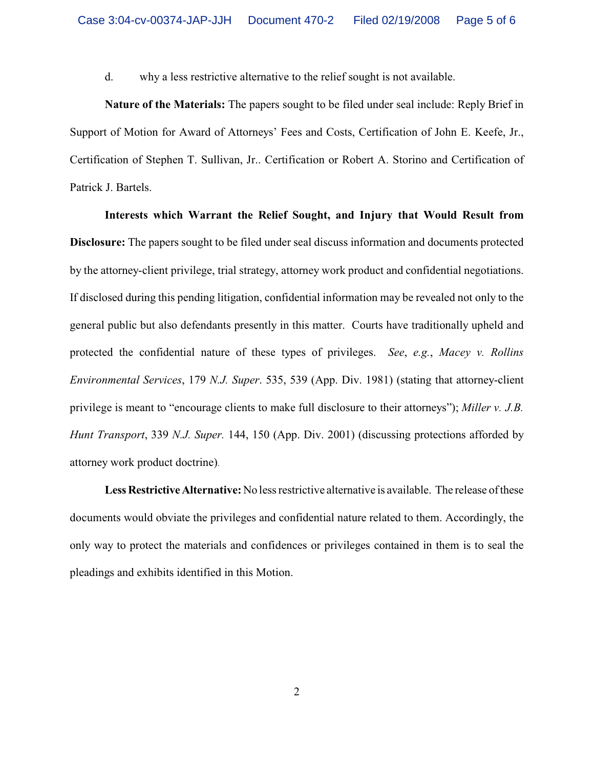d. why a less restrictive alternative to the relief sought is not available.

**Nature of the Materials:** The papers sought to be filed under seal include: Reply Brief in Support of Motion for Award of Attorneys' Fees and Costs, Certification of John E. Keefe, Jr., Certification of Stephen T. Sullivan, Jr.. Certification or Robert A. Storino and Certification of Patrick J. Bartels.

**Interests which Warrant the Relief Sought, and Injury that Would Result from Disclosure:** The papers sought to be filed under seal discuss information and documents protected by the attorney-client privilege, trial strategy, attorney work product and confidential negotiations. If disclosed during this pending litigation, confidential information may be revealed not only to the general public but also defendants presently in this matter. Courts have traditionally upheld and protected the confidential nature of these types of privileges. *See*, *e.g.*, *Macey v. Rollins Environmental Services*, 179 *N.J. Super*. 535, 539 (App. Div. 1981) (stating that attorney-client privilege is meant to "encourage clients to make full disclosure to their attorneys"); *Miller v. J.B. Hunt Transport*, 339 *N.J. Super.* 144, 150 (App. Div. 2001) (discussing protections afforded by attorney work product doctrine).

**Less Restrictive Alternative:** No less restrictive alternative is available. The release of these documents would obviate the privileges and confidential nature related to them. Accordingly, the only way to protect the materials and confidences or privileges contained in them is to seal the pleadings and exhibits identified in this Motion.